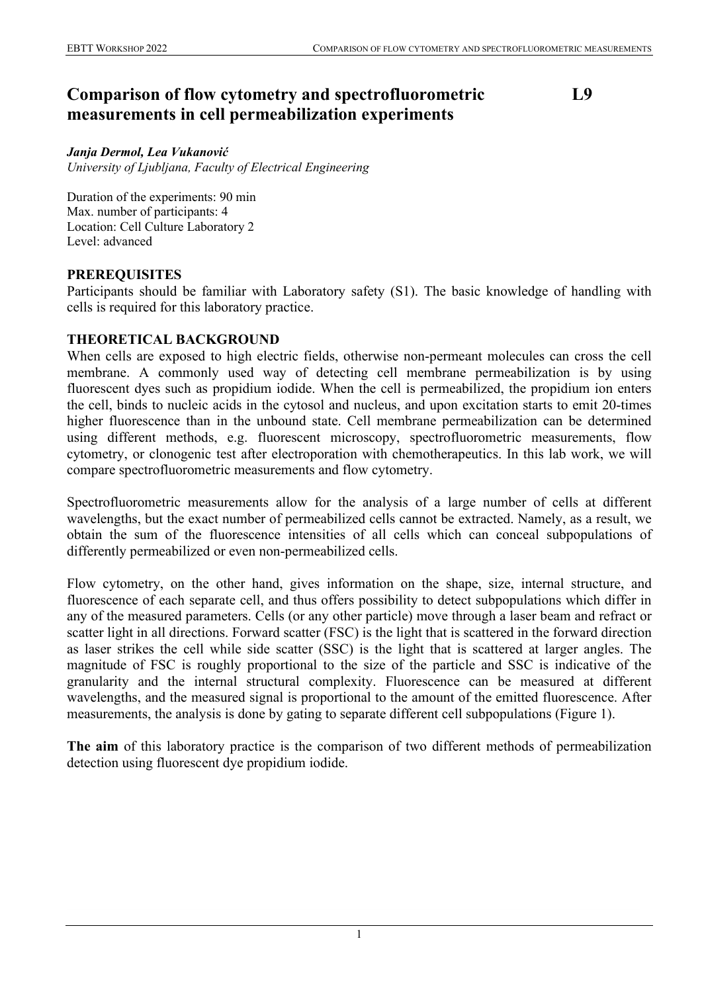# **Comparison of flow cytometry and spectrofluorometric measurements in cell permeabilization experiments**

## **L9**

#### *Janja Dermol, Lea Vukanović*

*University of Ljubljana, Faculty of Electrical Engineering*

Duration of the experiments: 90 min Max. number of participants: 4 Location: Cell Culture Laboratory 2 Level: advanced

### **PREREQUISITES**

Participants should be familiar with Laboratory safety (S1). The basic knowledge of handling with cells is required for this laboratory practice.

## **THEORETICAL BACKGROUND**

When cells are exposed to high electric fields, otherwise non-permeant molecules can cross the cell membrane. A commonly used way of detecting cell membrane permeabilization is by using fluorescent dyes such as propidium iodide. When the cell is permeabilized, the propidium ion enters the cell, binds to nucleic acids in the cytosol and nucleus, and upon excitation starts to emit 20-times higher fluorescence than in the unbound state. Cell membrane permeabilization can be determined using different methods, e.g. fluorescent microscopy, spectrofluorometric measurements, flow cytometry, or clonogenic test after electroporation with chemotherapeutics. In this lab work, we will compare spectrofluorometric measurements and flow cytometry.

Spectrofluorometric measurements allow for the analysis of a large number of cells at different wavelengths, but the exact number of permeabilized cells cannot be extracted. Namely, as a result, we obtain the sum of the fluorescence intensities of all cells which can conceal subpopulations of differently permeabilized or even non-permeabilized cells.

Flow cytometry, on the other hand, gives information on the shape, size, internal structure, and fluorescence of each separate cell, and thus offers possibility to detect subpopulations which differ in any of the measured parameters. Cells (or any other particle) move through a laser beam and refract or scatter light in all directions. Forward scatter (FSC) is the light that is scattered in the forward direction as laser strikes the cell while side scatter (SSC) is the light that is scattered at larger angles. The magnitude of FSC is roughly proportional to the size of the particle and SSC is indicative of the granularity and the internal structural complexity. Fluorescence can be measured at different wavelengths, and the measured signal is proportional to the amount of the emitted fluorescence. After measurements, the analysis is done by gating to separate different cell subpopulations (Figure 1).

**The aim** of this laboratory practice is the comparison of two different methods of permeabilization detection using fluorescent dye propidium iodide.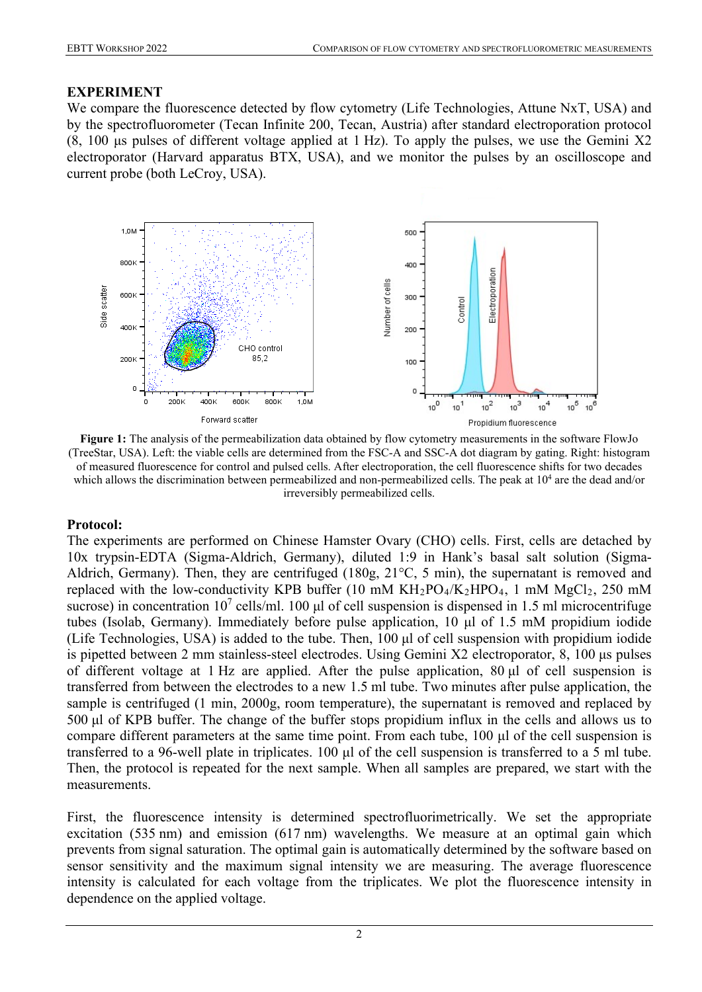### **EXPERIMENT**

We compare the fluorescence detected by flow cytometry (Life Technologies, Attune NxT, USA) and by the spectrofluorometer (Tecan Infinite 200, Tecan, Austria) after standard electroporation protocol (8, 100 μs pulses of different voltage applied at 1 Hz). To apply the pulses, we use the Gemini X2 electroporator (Harvard apparatus BTX, USA), and we monitor the pulses by an oscilloscope and current probe (both LeCroy, USA).



**Figure 1:** The analysis of the permeabilization data obtained by flow cytometry measurements in the software FlowJo (TreeStar, USA). Left: the viable cells are determined from the FSC-A and SSC-A dot diagram by gating. Right: histogram of measured fluorescence for control and pulsed cells. After electroporation, the cell fluorescence shifts for two decades which allows the discrimination between permeabilized and non-permeabilized cells. The peak at 10<sup>4</sup> are the dead and/or irreversibly permeabilized cells.

## **Protocol:**

The experiments are performed on Chinese Hamster Ovary (CHO) cells. First, cells are detached by 10x trypsin-EDTA (Sigma-Aldrich, Germany), diluted 1:9 in Hank's basal salt solution (Sigma-Aldrich, Germany). Then, they are centrifuged (180g, 21°C, 5 min), the supernatant is removed and replaced with the low-conductivity KPB buffer (10 mM  $KH_2PO_4/K_2HPO_4$ , 1 mM  $MgCl_2$ , 250 mM sucrose) in concentration  $10^7$  cells/ml. 100 µl of cell suspension is dispensed in 1.5 ml microcentrifuge tubes (Isolab, Germany). Immediately before pulse application, 10 μl of 1.5 mM propidium iodide (Life Technologies, USA) is added to the tube. Then, 100 μl of cell suspension with propidium iodide is pipetted between 2 mm stainless-steel electrodes. Using Gemini X2 electroporator, 8, 100 μs pulses of different voltage at 1 Hz are applied. After the pulse application, 80 μl of cell suspension is transferred from between the electrodes to a new 1.5 ml tube. Two minutes after pulse application, the sample is centrifuged (1 min, 2000g, room temperature), the supernatant is removed and replaced by 500 μl of KPB buffer. The change of the buffer stops propidium influx in the cells and allows us to compare different parameters at the same time point. From each tube, 100 μl of the cell suspension is transferred to a 96-well plate in triplicates. 100 μl of the cell suspension is transferred to a 5 ml tube. Then, the protocol is repeated for the next sample. When all samples are prepared, we start with the measurements.

First, the fluorescence intensity is determined spectrofluorimetrically. We set the appropriate excitation (535 nm) and emission (617 nm) wavelengths. We measure at an optimal gain which prevents from signal saturation. The optimal gain is automatically determined by the software based on sensor sensitivity and the maximum signal intensity we are measuring. The average fluorescence intensity is calculated for each voltage from the triplicates. We plot the fluorescence intensity in dependence on the applied voltage.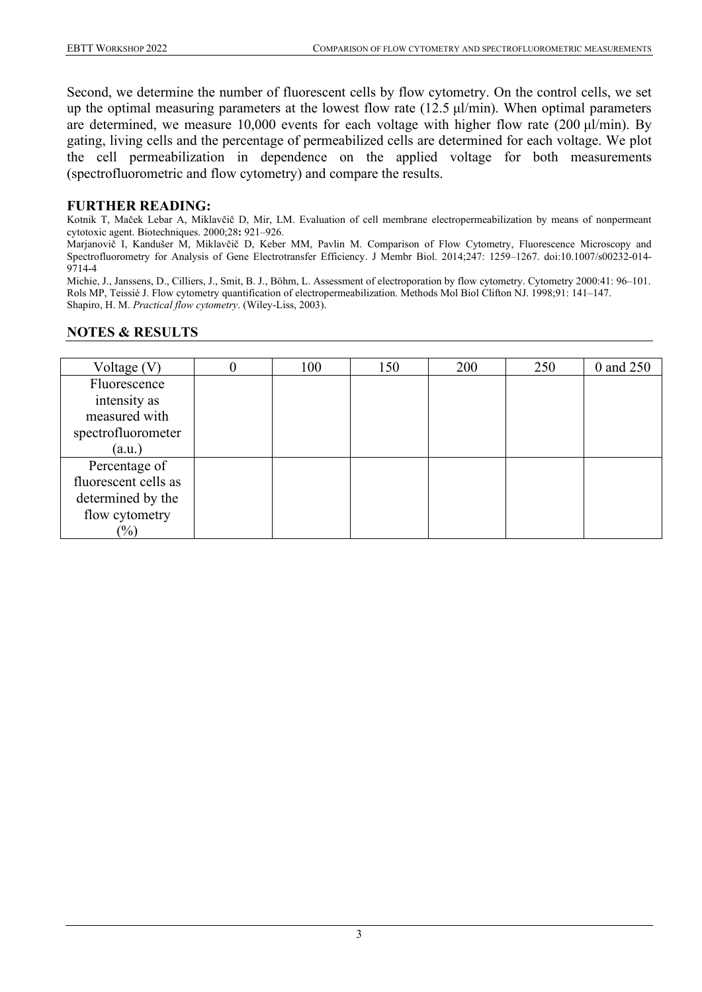Second, we determine the number of fluorescent cells by flow cytometry. On the control cells, we set up the optimal measuring parameters at the lowest flow rate (12.5 μl/min). When optimal parameters are determined, we measure 10,000 events for each voltage with higher flow rate (200 μl/min). By gating, living cells and the percentage of permeabilized cells are determined for each voltage. We plot the cell permeabilization in dependence on the applied voltage for both measurements (spectrofluorometric and flow cytometry) and compare the results.

### **FURTHER READING:**

Kotnik T, Maček Lebar A, Miklavčič D, Mir, LM. Evaluation of cell membrane electropermeabilization by means of nonpermeant cytotoxic agent. Biotechniques. 2000;28**:** 921–926.

Marjanovič I, Kandušer M, Miklavčič D, Keber MM, Pavlin M. Comparison of Flow Cytometry, Fluorescence Microscopy and Spectrofluorometry for Analysis of Gene Electrotransfer Efficiency. J Membr Biol. 2014;247: 1259–1267. doi:10.1007/s00232-014- 9714-4

Michie, J., Janssens, D., Cilliers, J., Smit, B. J., Böhm, L. Assessment of electroporation by flow cytometry. Cytometry 2000:41: 96–101. Rols MP, Teissié J. Flow cytometry quantification of electropermeabilization. Methods Mol Biol Clifton NJ. 1998;91: 141–147. Shapiro, H. M. *Practical flow cytometry*. (Wiley-Liss, 2003).

### **NOTES & RESULTS**

| Voltage $(V)$        | 100 | 150 | 200 | 250 | 0 and 250 |
|----------------------|-----|-----|-----|-----|-----------|
| Fluorescence         |     |     |     |     |           |
| intensity as         |     |     |     |     |           |
| measured with        |     |     |     |     |           |
| spectrofluorometer   |     |     |     |     |           |
| (a.u.)               |     |     |     |     |           |
| Percentage of        |     |     |     |     |           |
| fluorescent cells as |     |     |     |     |           |
| determined by the    |     |     |     |     |           |
| flow cytometry       |     |     |     |     |           |
| $\frac{1}{2}$        |     |     |     |     |           |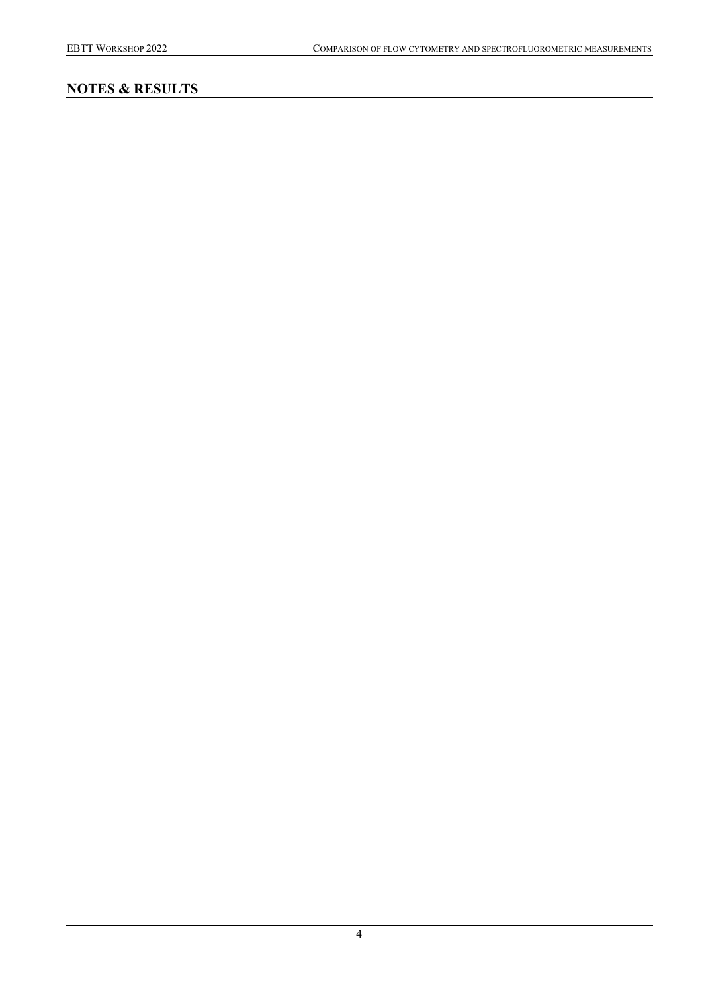# **NOTES & RESULTS**